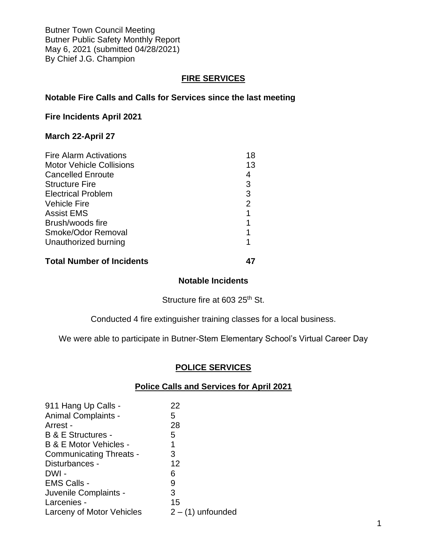Butner Town Council Meeting Butner Public Safety Monthly Report May 6, 2021 (submitted 04/28/2021) By Chief J.G. Champion

# **FIRE SERVICES**

**Notable Fire Calls and Calls for Services since the last meeting**

#### **Fire Incidents April 2021**

# **March 22-April 27**

| <b>Fire Alarm Activations</b>   | 18 |
|---------------------------------|----|
| <b>Motor Vehicle Collisions</b> | 13 |
| <b>Cancelled Enroute</b>        |    |
| <b>Structure Fire</b>           | 3  |
| <b>Electrical Problem</b>       | 3  |
| <b>Vehicle Fire</b>             | 2  |
| <b>Assist EMS</b>               |    |
| Brush/woods fire                |    |
| Smoke/Odor Removal              |    |
| Unauthorized burning            |    |
|                                 |    |

# **Total Number of Incidents 47**

# **Notable Incidents**

Structure fire at 603 25<sup>th</sup> St.

Conducted 4 fire extinguisher training classes for a local business.

We were able to participate in Butner-Stem Elementary School's Virtual Career Day

## **POLICE SERVICES**

## **Police Calls and Services for April 2021**

| 911 Hang Up Calls -            | 22                  |
|--------------------------------|---------------------|
| <b>Animal Complaints -</b>     | 5                   |
| Arrest -                       | 28                  |
| B & E Structures -             | 5                   |
| B & E Motor Vehicles -         | 1                   |
| <b>Communicating Threats -</b> | 3                   |
| Disturbances -                 | 12                  |
| DWI -                          | 6                   |
| <b>EMS Calls -</b>             | 9                   |
| Juvenile Complaints -          | 3                   |
| Larcenies -                    | 15                  |
| Larceny of Motor Vehicles      | $2 - (1)$ unfounded |